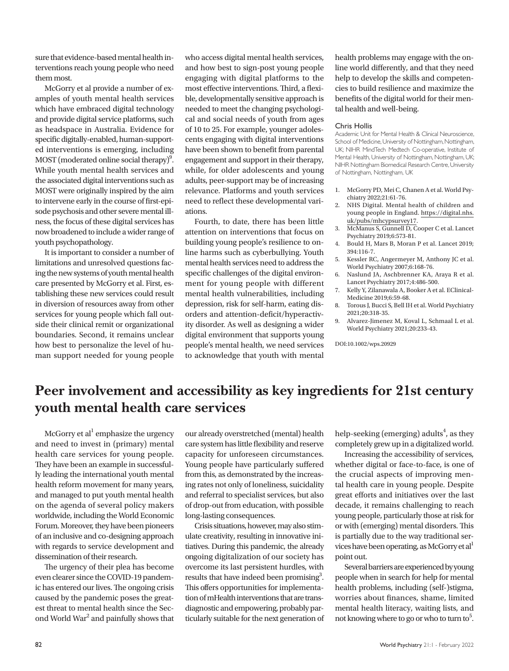sure that evidence-based mental health interventions reach young people who need them most.

McGorry et al provide a number of examples of youth mental health services which have embraced digital technology and provide digital service platforms, such as headspace in Australia. Evidence for specific digitally-enabled, human-supported interventions is emerging, including  $MOST$  (moderated online social therapy)<sup>9</sup>. While youth mental health services and the associated digital interventions such as MOST were originally inspired by the aim to intervene early in the course of first-episode psychosis and other severe mental illness, the focus of these digital services has now broadened to include a wider range of youth psychopathology.

It is important to consider a number of limitations and unresolved questions facing the new systems of youth mental health care presented by McGorry et al. First, establishing these new services could result in diversion of resources away from other services for young people which fall outside their clinical remit or organizational boundaries. Second, it remains unclear how best to personalize the level of human support needed for young people

who access digital mental health services, and how best to sign-post young people engaging with digital platforms to the most effective interventions. Third, a flexible, developmentally sensitive approach is needed to meet the changing psychological and social needs of youth from ages of 10 to 25. For example, younger adolescents engaging with digital interventions have been shown to benefit from parental engagement and support in their therapy, while, for older adolescents and young adults, peer-support may be of increasing relevance. Platforms and youth services need to reflect these developmental variations.

Fourth, to date, there has been little attention on interventions that focus on building young people's resilience to online harms such as cyberbullying. Youth mental health services need to address the specific challenges of the digital environment for young people with different mental health vulnerabilities, including depression, risk for self-harm, eating disorders and attention-deficit/hyperactivity disorder. As well as designing a wider digital environment that supports young people's mental health, we need services to acknowledge that youth with mental

health problems may engage with the online world differently, and that they need help to develop the skills and competencies to build resilience and maximize the benefits of the digital world for their mental health and well-being.

## Chris Hollis

Academic Unit for Mental Health & Clinical Neuroscience, School of Medicine, University of Nottingham, Nottingham, UK; NIHR MindTech Medtech Co-operative, Institute of Mental Health, University of Nottingham, Nottingham, UK; NIHR Nottingham Biomedical Research Centre, University of Nottingham, Nottingham, UK

- 1. McGorry PD, Mei C, Chanen A et al. World Psychiatry 2022;21:61-76.
- 2. NHS Digital. Mental health of children and young people in England. [https://digital.nhs.](https://digital.nhs.uk/pubs/mhcypsurvey17) [uk/pubs/mhcypsurvey17.](https://digital.nhs.uk/pubs/mhcypsurvey17)
- 3. McManus S, Gunnell D, Cooper C et al. Lancet Psychiatry 2019;6:573-81.
- 4. Bould H, Mars B, Moran P et al. Lancet 2019; 394:116-7.
- 5. Kessler RC, Angermeyer M, Anthony JC et al. World Psychiatry 2007;6:168-76.
- 6. Naslund JA, Aschbrenner KA, Araya R et al. Lancet Psychiatry 2017;4:486-500.
- 7. Kelly Y, Zilanawala A, Booker A et al. EClinical-Medicine 2019;6:59-68.
- 8. Torous J, Bucci S, Bell IH et al. World Psychiatry 2021;20:318-35.
- 9. Alvarez-Jimenez M, Koval L, Schmaal L et al. World Psychiatry 2021;20:233-43.

DOI:10.1002/wps.20929

## **Peer involvement and accessibility as key ingredients for 21st century youth mental health care services**

McGorry et al<sup>1</sup> emphasize the urgency and need to invest in (primary) mental health care services for young people. They have been an example in successfully leading the international youth mental health reform movement for many years, and managed to put youth mental health on the agenda of several policy makers worldwide, including the World Economic Forum. Moreover, they have been pioneers of an inclusive and co-designing approach with regards to service development and dissemination of their research.

The urgency of their plea has become even clearer since the COVID-19 pandemic has entered our lives. The ongoing crisis caused by the pandemic poses the greatest threat to mental health since the Second World War<sup>2</sup> and painfully shows that our already overstretched (mental) health care system has little flexibility and reserve capacity for unforeseen circumstances. Young people have particularly suffered from this, as demonstrated by the increasing rates not only of loneliness, suicidality and referral to specialist services, but also of drop-out from education, with possible long-lasting consequences.

Crisis situations, however, may also stimulate creativity, resulting in innovative initiatives. During this pandemic, the already ongoing digitalization of our society has overcome its last persistent hurdles, with results that have indeed been promising<sup>3</sup>. This offers opportunities for implementation of mHealth interventions that are transdiagnostic and empowering, probably particularly suitable for the next generation of

help-seeking (emerging) adults<sup>4</sup>, as they completely grew up in a digitalized world.

Increasing the accessibility of services, whether digital or face-to-face, is one of the crucial aspects of improving mental health care in young people. Despite great efforts and initiatives over the last decade, it remains challenging to reach young people, particularly those at risk for or with (emerging) mental disorders. This is partially due to the way traditional services have been operating, as McGorry et al point out.

Several barriers are experienced by young people when in search for help for mental health problems, including (self-)stigma, worries about finances, shame, limited mental health literacy, waiting lists, and not knowing where to go or who to turn to $5$ .